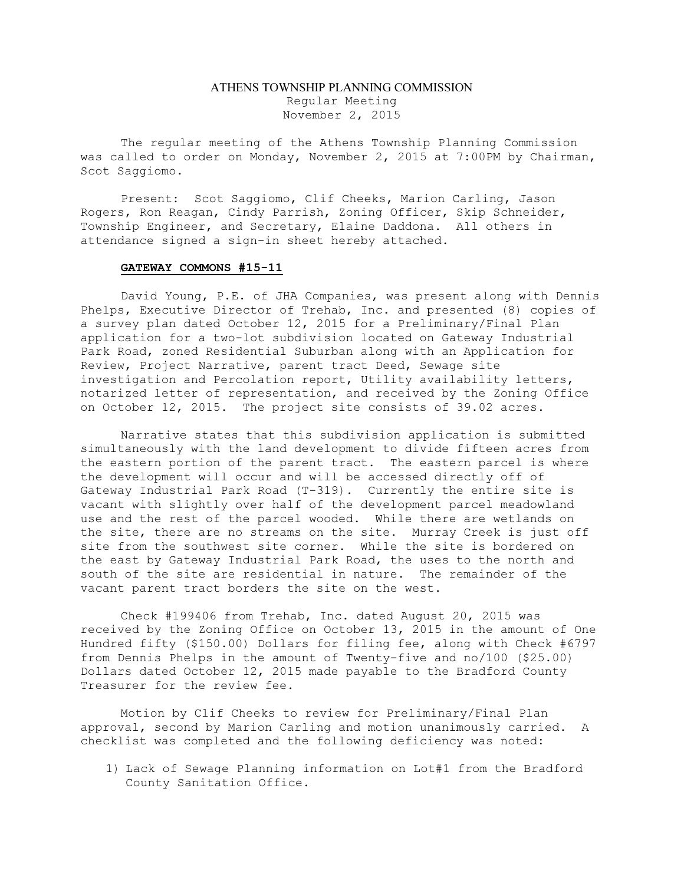## ATHENS TOWNSHIP PLANNING COMMISSION Regular Meeting November 2, 2015

The regular meeting of the Athens Township Planning Commission was called to order on Monday, November 2, 2015 at 7:00PM by Chairman, Scot Saggiomo.

Present: Scot Saggiomo, Clif Cheeks, Marion Carling, Jason Rogers, Ron Reagan, Cindy Parrish, Zoning Officer, Skip Schneider, Township Engineer, and Secretary, Elaine Daddona. All others in attendance signed a sign-in sheet hereby attached.

## GATEWAY COMMONS #15-11

David Young, P.E. of JHA Companies, was present along with Dennis Phelps, Executive Director of Trehab, Inc. and presented (8) copies of a survey plan dated October 12, 2015 for a Preliminary/Final Plan application for a two-lot subdivision located on Gateway Industrial Park Road, zoned Residential Suburban along with an Application for Review, Project Narrative, parent tract Deed, Sewage site investigation and Percolation report, Utility availability letters, notarized letter of representation, and received by the Zoning Office on October 12, 2015. The project site consists of 39.02 acres.

Narrative states that this subdivision application is submitted simultaneously with the land development to divide fifteen acres from the eastern portion of the parent tract. The eastern parcel is where the development will occur and will be accessed directly off of Gateway Industrial Park Road (T-319). Currently the entire site is vacant with slightly over half of the development parcel meadowland use and the rest of the parcel wooded. While there are wetlands on the site, there are no streams on the site. Murray Creek is just off site from the southwest site corner. While the site is bordered on the east by Gateway Industrial Park Road, the uses to the north and south of the site are residential in nature. The remainder of the vacant parent tract borders the site on the west.

Check #199406 from Trehab, Inc. dated August 20, 2015 was received by the Zoning Office on October 13, 2015 in the amount of One Hundred fifty (\$150.00) Dollars for filing fee, along with Check #6797 from Dennis Phelps in the amount of Twenty-five and no/100 (\$25.00) Dollars dated October 12, 2015 made payable to the Bradford County Treasurer for the review fee.

Motion by Clif Cheeks to review for Preliminary/Final Plan approval, second by Marion Carling and motion unanimously carried. A checklist was completed and the following deficiency was noted:

1) Lack of Sewage Planning information on Lot#1 from the Bradford County Sanitation Office.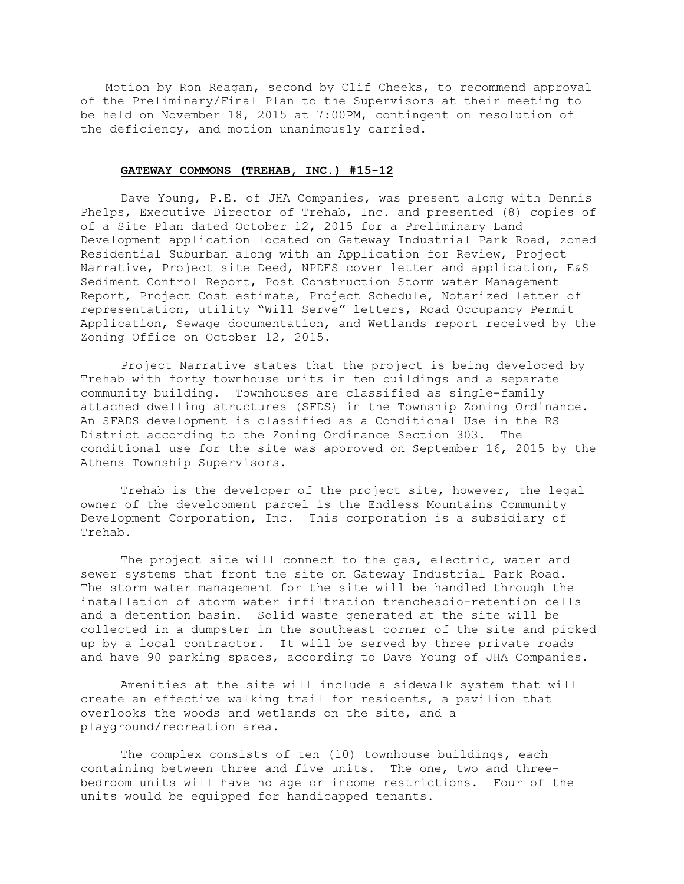Motion by Ron Reagan, second by Clif Cheeks, to recommend approval of the Preliminary/Final Plan to the Supervisors at their meeting to be held on November 18, 2015 at 7:00PM, contingent on resolution of the deficiency, and motion unanimously carried.

## GATEWAY COMMONS (TREHAB, INC.) #15-12

Dave Young, P.E. of JHA Companies, was present along with Dennis Phelps, Executive Director of Trehab, Inc. and presented (8) copies of of a Site Plan dated October 12, 2015 for a Preliminary Land Development application located on Gateway Industrial Park Road, zoned Residential Suburban along with an Application for Review, Project Narrative, Project site Deed, NPDES cover letter and application, E&S Sediment Control Report, Post Construction Storm water Management Report, Project Cost estimate, Project Schedule, Notarized letter of representation, utility "Will Serve" letters, Road Occupancy Permit Application, Sewage documentation, and Wetlands report received by the Zoning Office on October 12, 2015.

Project Narrative states that the project is being developed by Trehab with forty townhouse units in ten buildings and a separate community building. Townhouses are classified as single-family attached dwelling structures (SFDS) in the Township Zoning Ordinance. An SFADS development is classified as a Conditional Use in the RS District according to the Zoning Ordinance Section 303. The conditional use for the site was approved on September 16, 2015 by the Athens Township Supervisors.

Trehab is the developer of the project site, however, the legal owner of the development parcel is the Endless Mountains Community Development Corporation, Inc. This corporation is a subsidiary of Trehab.

The project site will connect to the gas, electric, water and sewer systems that front the site on Gateway Industrial Park Road. The storm water management for the site will be handled through the installation of storm water infiltration trenchesbio-retention cells and a detention basin. Solid waste generated at the site will be collected in a dumpster in the southeast corner of the site and picked up by a local contractor. It will be served by three private roads and have 90 parking spaces, according to Dave Young of JHA Companies.

Amenities at the site will include a sidewalk system that will create an effective walking trail for residents, a pavilion that overlooks the woods and wetlands on the site, and a playground/recreation area.

The complex consists of ten (10) townhouse buildings, each containing between three and five units. The one, two and threebedroom units will have no age or income restrictions. Four of the units would be equipped for handicapped tenants.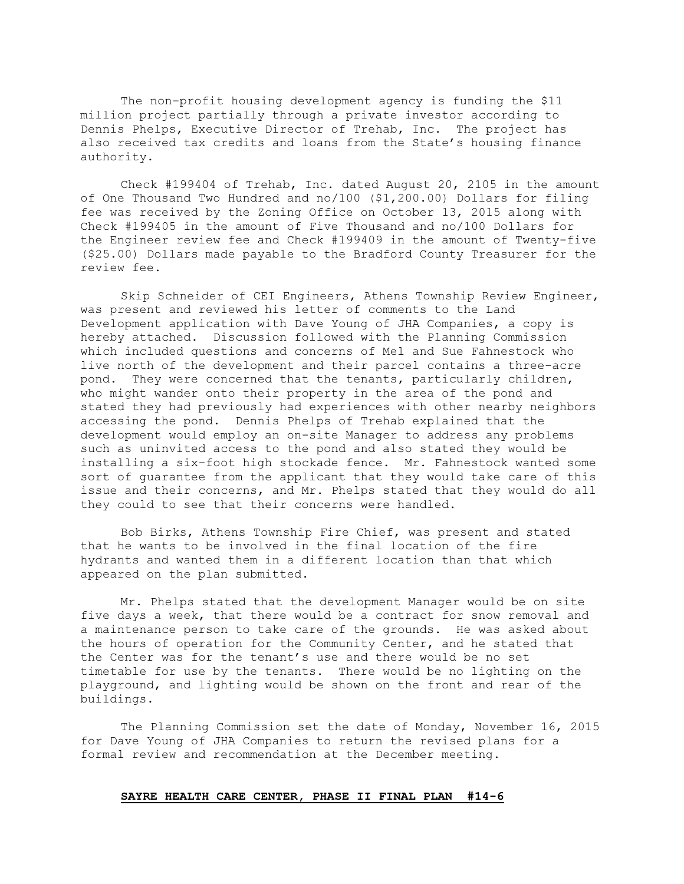The non-profit housing development agency is funding the \$11 million project partially through a private investor according to Dennis Phelps, Executive Director of Trehab, Inc. The project has also received tax credits and loans from the State's housing finance authority.

Check #199404 of Trehab, Inc. dated August 20, 2105 in the amount of One Thousand Two Hundred and no/100 (\$1,200.00) Dollars for filing fee was received by the Zoning Office on October 13, 2015 along with Check #199405 in the amount of Five Thousand and no/100 Dollars for the Engineer review fee and Check #199409 in the amount of Twenty-five (\$25.00) Dollars made payable to the Bradford County Treasurer for the review fee.

Skip Schneider of CEI Engineers, Athens Township Review Engineer, was present and reviewed his letter of comments to the Land Development application with Dave Young of JHA Companies, a copy is hereby attached. Discussion followed with the Planning Commission which included questions and concerns of Mel and Sue Fahnestock who live north of the development and their parcel contains a three-acre pond. They were concerned that the tenants, particularly children, who might wander onto their property in the area of the pond and stated they had previously had experiences with other nearby neighbors accessing the pond. Dennis Phelps of Trehab explained that the development would employ an on-site Manager to address any problems such as uninvited access to the pond and also stated they would be installing a six-foot high stockade fence. Mr. Fahnestock wanted some sort of guarantee from the applicant that they would take care of this issue and their concerns, and Mr. Phelps stated that they would do all they could to see that their concerns were handled.

Bob Birks, Athens Township Fire Chief, was present and stated that he wants to be involved in the final location of the fire hydrants and wanted them in a different location than that which appeared on the plan submitted.

Mr. Phelps stated that the development Manager would be on site five days a week, that there would be a contract for snow removal and a maintenance person to take care of the grounds. He was asked about the hours of operation for the Community Center, and he stated that the Center was for the tenant's use and there would be no set timetable for use by the tenants. There would be no lighting on the playground, and lighting would be shown on the front and rear of the buildings.

The Planning Commission set the date of Monday, November 16, 2015 for Dave Young of JHA Companies to return the revised plans for a formal review and recommendation at the December meeting.

## SAYRE HEALTH CARE CENTER, PHASE II FINAL PLAN #14-6